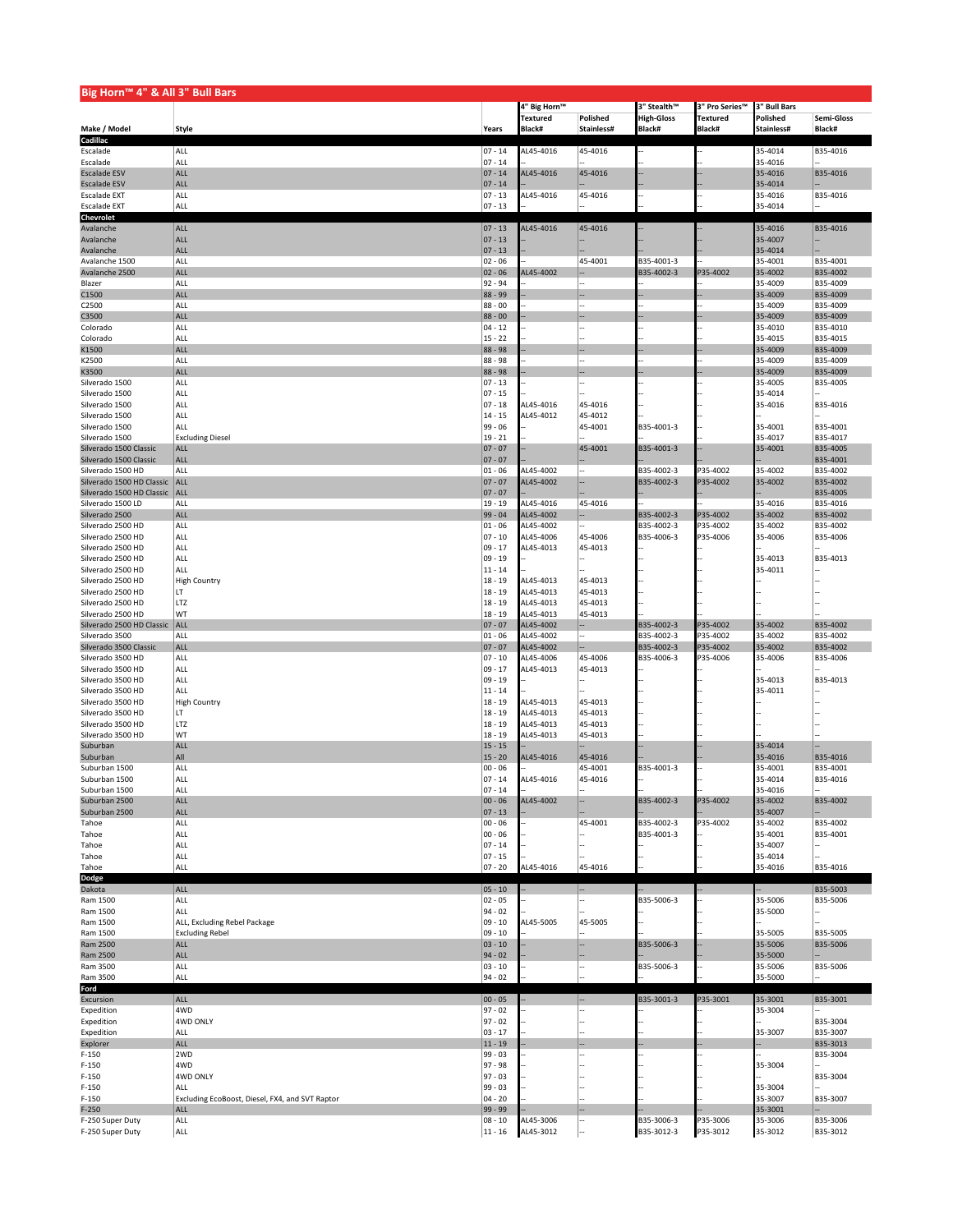| Big Horn™ 4" & All 3" Bull Bars                |                                                 |                         |                        |                    |                          |                      |                    |                      |
|------------------------------------------------|-------------------------------------------------|-------------------------|------------------------|--------------------|--------------------------|----------------------|--------------------|----------------------|
|                                                |                                                 |                         | 4" Big Horn™           |                    | 3" Stealth™              | 3" Pro Series™       | 3" Bull Bars       |                      |
|                                                |                                                 |                         | Textured               | Polished           | <b>High-Gloss</b>        | Textured             | Polished           | Semi-Gloss           |
| Make / Model                                   | Style                                           | Years                   | Black#                 | Stainless#         | Black#                   | Black#               | Stainless#         | Black#               |
| Cadillac                                       |                                                 |                         | AL45-4016              |                    |                          |                      |                    |                      |
| Escalade<br>Escalade                           | ALL<br><b>ALL</b>                               | $ 07 - 14$<br>$07 - 14$ |                        | 45-4016            |                          |                      | 35-4014<br>35-4016 | B35-4016             |
| <b>Escalade ESV</b>                            | <b>ALL</b>                                      | $07 - 14$               | AL45-4016              | 45-4016            |                          |                      | 35-4016            | B35-4016             |
| <b>Escalade ESV</b>                            | ALL                                             | $07 - 14$               |                        |                    |                          |                      | 35-4014            |                      |
| <b>Escalade EXT</b>                            | ALL                                             | $07 - 13$               | AL45-4016              | 45-4016            |                          |                      | 35-4016            | B35-4016             |
| <b>Escalade EXT</b>                            | ALL                                             | $07 - 13$               |                        |                    |                          |                      | 35-4014            |                      |
| Chevrolet                                      |                                                 |                         |                        |                    |                          |                      |                    |                      |
| Avalanche<br>Avalanche                         | ALL<br>ALL                                      | $ 07 - 13$<br>$07 - 13$ | AL45-4016              | 45-4016            |                          |                      | 35-4016<br>35-4007 | B35-4016             |
| Avalanche                                      | ALL                                             | $07 - 13$               |                        |                    |                          |                      | 35-4014            |                      |
| Avalanche 1500                                 | ALL                                             | $02 - 06$               |                        | 45-4001            | B35-4001-3               |                      | 35-4001            | B35-4001             |
| Avalanche 2500                                 | ALL                                             | $02 - 06$               | AL45-4002              |                    | B35-4002-3               | P35-4002             | 35-4002            | B35-4002             |
| Blazer                                         | <b>ALL</b>                                      | $92 - 94$               |                        |                    |                          |                      | 35-4009            | B35-4009             |
| C1500                                          | ALL                                             | 88 - 99                 |                        |                    |                          |                      | 35-4009            | B35-4009             |
| C2500                                          | ALL<br>ALL                                      | $88 - 00$               |                        |                    |                          |                      | 35-4009            | B35-4009             |
| C3500<br>Colorado                              | ALL                                             | $88 - 00$<br>$04 - 12$  |                        |                    |                          |                      | 35-4009<br>35-4010 | B35-4009<br>B35-4010 |
| Colorado                                       | ALL                                             | $15 - 22$               |                        |                    |                          |                      | 35-4015            | B35-4015             |
| K1500                                          | ALL                                             | 88 - 98                 |                        |                    |                          |                      | 35-4009            | B35-4009             |
| K2500                                          | ALL                                             | $88 - 98$               |                        |                    |                          |                      | 35-4009            | B35-4009             |
| K3500                                          | <b>ALL</b>                                      | 88 - 98                 |                        |                    |                          |                      | 35-4009            | B35-4009             |
| Silverado 1500                                 | ALL                                             | $07 - 13$               |                        |                    |                          |                      | 35-4005            | B35-4005             |
| Silverado 1500<br>Silverado 1500               | ALL<br><b>ALL</b>                               | $07 - 15$<br>$07 - 18$  | AL45-4016              | 45-4016            |                          |                      | 35-4014<br>35-4016 | B35-4016             |
| Silverado 1500                                 | <b>ALL</b>                                      | $14 - 15$               | AL45-4012              | 45-4012            |                          |                      |                    |                      |
| Silverado 1500                                 | <b>ALL</b>                                      | 99 - 06                 |                        | 45-4001            | B35-4001-3               |                      | 35-4001            | B35-4001             |
| Silverado 1500                                 | <b>Excluding Diesel</b>                         | $19 - 21$               |                        |                    |                          |                      | 35-4017            | B35-4017             |
| Silverado 1500 Classic                         | <b>ALL</b>                                      | $07 - 07$               |                        | 45-4001            | B35-4001-3               |                      | 35-4001            | B35-4005             |
| Silverado 1500 Classic                         | ALL                                             | $07 - 07$               |                        |                    |                          |                      |                    | B35-4001             |
| Silverado 1500 HD<br>Silverado 1500 HD Classic | ALL<br>ALL                                      | $01 - 06$<br>$07 - 07$  | AL45-4002<br>AL45-4002 |                    | B35-4002-3<br>B35-4002-3 | 935-4002<br>P35-4002 | 35-4002<br>35-4002 | B35-4002<br>B35-4002 |
| Silverado 1500 HD Classic                      | ALL                                             | $07 - 07$               |                        |                    |                          |                      |                    | B35-4005             |
| Silverado 1500 LD                              | <b>ALL</b>                                      | $19 - 19$               | AL45-4016              | 45-4016            |                          |                      | 35-4016            | B35-4016             |
| Silverado 2500                                 | ALL                                             | $99 - 04$               | AL45-4002              |                    | B35-4002-3               | P35-4002             | 35-4002            | B35-4002             |
| Silverado 2500 HD                              | <b>ALL</b>                                      | $01 - 06$               | AL45-4002              |                    | B35-4002-3               | 35-4002              | 35-4002            | B35-4002             |
| Silverado 2500 HD                              | ALL                                             | $07 - 10$               | AL45-4006              | 45-4006            | B35-4006-3               | P35-4006             | 35-4006            | B35-4006             |
| Silverado 2500 HD<br>Silverado 2500 HD         | <b>ALL</b>                                      | $09 - 17$               | AL45-4013              | 45-4013            |                          |                      | 35-4013            | B35-4013             |
| Silverado 2500 HD                              | <b>ALL</b><br><b>ALL</b>                        | $09 - 19$<br>$11 - 14$  |                        |                    |                          |                      | 35-4011            |                      |
| Silverado 2500 HD                              | <b>High Country</b>                             | $18 - 19$               | AL45-4013              | 45-4013            |                          |                      |                    |                      |
| Silverado 2500 HD                              | llt                                             | $18 - 19$               | AL45-4013              | 45-4013            |                          |                      |                    |                      |
| Silverado 2500 HD                              | LTZ                                             | $18 - 19$               | AL45-4013              | 45-4013            |                          |                      |                    |                      |
| Silverado 2500 HD                              | WT                                              |                         |                        |                    |                          |                      |                    |                      |
|                                                |                                                 | $18 - 19$               | AL45-4013              | 45-4013            |                          |                      |                    |                      |
| Silverado 2500 HD Classic                      | ALL                                             | $ 07 - 07$              | AL45-4002              |                    | B35-4002-3               | P35-4002             | 35-4002            | B35-4002             |
| Silverado 3500                                 | ALL                                             | $01 - 06$               | AL45-4002              |                    | B35-4002-3               | 35-4002              | 35-4002            | B35-4002             |
| Silverado 3500 Classic                         | <b>ALL</b>                                      | $07 - 07$               | AL45-4002              |                    | B35-4002-3               | P35-4002             | 35-4002            | B35-4002             |
| Silverado 3500 HD<br>Silverado 3500 HD         | ALL<br><b>ALL</b>                               | $07 - 10$<br>$09 - 17$  | AL45-4006<br>AL45-4013 | 45-4006<br>45-4013 | B35-4006-3               | P35-4006             | 35-4006            | B35-4006             |
| Silverado 3500 HD                              | <b>ALL</b>                                      | $09 - 19$               |                        |                    |                          |                      | 35-4013            | B35-4013             |
| Silverado 3500 HD                              | <b>ALL</b>                                      | $11 - 14$               |                        |                    |                          |                      | 35-4011            |                      |
| Silverado 3500 HD                              | <b>High Country</b>                             | $18 - 19$               | AL45-4013              | 45-4013            |                          |                      |                    |                      |
| Silverado 3500 HD                              | LT                                              | $18 - 19$               | AL45-4013              | 45-4013            |                          |                      |                    |                      |
| Silverado 3500 HD                              | LTZ                                             | $18 - 19$               | AL45-4013              | 45-4013            |                          |                      |                    |                      |
| Silverado 3500 HD<br>Suburban                  | WT<br><b>ALL</b>                                | $18 - 19$<br>$15 - 15$  | AL45-4013              | 45-4013            |                          |                      | 35-4014            |                      |
| Suburban                                       | All                                             | $15 - 20$               | AL45-4016              | 45-4016            |                          |                      | 35-4016            | B35-4016             |
| Suburban 1500                                  | <b>ALL</b>                                      | $00 - 06$               |                        | 45-4001            | B35-4001-3               |                      | 35-4001            | B35-4001             |
| Suburban 1500                                  | ALL                                             | $ 07 - 14$              | AL45-4016              | 45-4016            |                          |                      | 35-4014            | B35-4016             |
| Suburban 1500                                  | <b>ALL</b>                                      | $07 - 14$               |                        |                    |                          |                      | 35-4016            |                      |
| Suburban 2500                                  | ALL                                             | $00 - 06$               | AL45-4002              |                    | B35-4002-3               | P35-4002             | 35-4002            | B35-4002             |
| Suburban 2500<br>Tahoe                         | ALL<br>ALL                                      | $ 07 - 13$<br>$00 - 06$ |                        | 45-4001            | B35-4002-3               | 35-4002              | 35-4007<br>35-4002 | B35-4002             |
| Tahoe                                          | ALL                                             | $00 - 06$               |                        |                    | B35-4001-3               |                      | 35-4001            | B35-4001             |
| Tahoe                                          | ALL                                             | $07 - 14$               |                        |                    |                          |                      | 35-4007            |                      |
| Tahoe                                          | ALL                                             | $07 - 15$               |                        |                    |                          |                      | 35-4014            |                      |
| Tahoe                                          | ALL                                             | $ 07 - 20$              | AL45-4016              | 45-4016            |                          |                      | 35-4016            | B35-4016             |
| Dodge                                          |                                                 |                         |                        |                    |                          |                      |                    |                      |
| Dakota                                         | ALL<br>ALL                                      | $ 05 - 10$<br>$02 - 05$ |                        |                    | B35-5006-3               |                      | 35-5006            | B35-5003<br>B35-5006 |
| Ram 1500<br>Ram 1500                           | ALL                                             | $94 - 02$               |                        |                    |                          |                      | 35-5000            |                      |
| Ram 1500                                       | ALL, Excluding Rebel Package                    | $09 - 10$               | AL45-5005              | 45-5005            |                          |                      |                    |                      |
| Ram 1500                                       | <b>Excluding Rebel</b>                          | $09 - 10$               |                        |                    |                          |                      | 35-5005            | B35-5005             |
| Ram 2500                                       | <b>ALL</b>                                      | $03 - 10$               |                        |                    | B35-5006-3               |                      | 35-5006            | B35-5006             |
| Ram 2500                                       | ALL                                             | $94 - 02$               |                        |                    |                          |                      | 35-5000            |                      |
| Ram 3500<br>Ram 3500                           | ALL<br>ALL                                      | $03 - 10$<br>$94 - 02$  |                        |                    | B35-5006-3               |                      | 35-5006<br>35-5000 | B35-5006             |
| Ford                                           |                                                 |                         |                        |                    |                          |                      |                    |                      |
| Excursion                                      | <b>ALL</b>                                      | $00 - 05$               |                        |                    | B35-3001-3               | P35-3001             | 35-3001            | B35-3001             |
| Expedition                                     | 4WD                                             | $97 - 02$               |                        |                    |                          |                      | 35-3004            |                      |
| Expedition                                     | 4WD ONLY                                        | $97 - 02$               |                        |                    |                          |                      |                    | B35-3004             |
| Expedition                                     | <b>ALL</b>                                      | $03 - 17$               |                        |                    |                          |                      | 35-3007            | B35-3007             |
| Explorer<br>$F-150$                            | ALL<br>2WD                                      | $11 - 19$<br>$99 - 03$  |                        |                    |                          |                      |                    | B35-3013<br>B35-3004 |
| $F-150$                                        | 4WD                                             | $97 - 98$               |                        |                    |                          |                      | 35-3004            |                      |
| $F-150$                                        | 4WD ONLY                                        | $97 - 03$               |                        |                    |                          |                      |                    | B35-3004             |
| $F-150$                                        | ALL                                             | 99 - 03                 |                        |                    |                          |                      | 35-3004            |                      |
| $F-150$                                        | Excluding EcoBoost, Diesel, FX4, and SVT Raptor | $04 - 20$               |                        |                    |                          |                      | 35-3007            | B35-3007             |
| $F-250$<br>F-250 Super Duty                    | ALL<br>ALL                                      | 99 - 99<br>$08 - 10$    | AL45-3006              |                    | B35-3006-3               | P35-3006             | 35-3001<br>35-3006 | B35-3006             |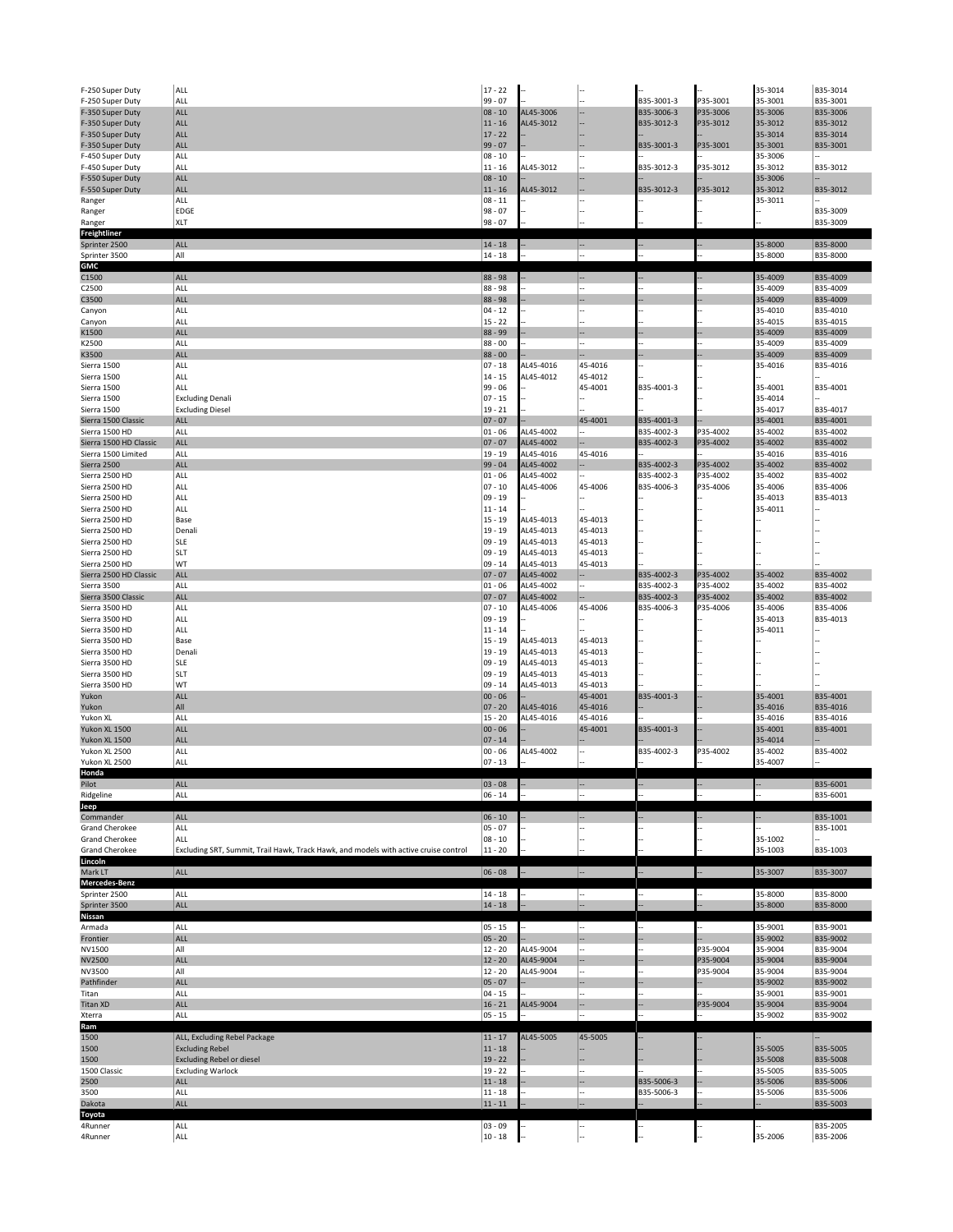| F-250 Super Duty                 | ALL                                                                                  | $17 - 22$              |                        |                    |            |          | 35-3014            | B35-3014             |
|----------------------------------|--------------------------------------------------------------------------------------|------------------------|------------------------|--------------------|------------|----------|--------------------|----------------------|
| F-250 Super Duty                 | ALL                                                                                  | $99 - 07$              |                        |                    | B35-3001-3 | P35-3001 | 35-3001            | B35-3001             |
| F-350 Super Duty                 | ALL                                                                                  | $08 - 10$              | AL45-3006              |                    | B35-3006-3 | P35-3006 | 35-3006            | B35-3006             |
| F-350 Super Duty                 | <b>ALL</b>                                                                           | $11 - 16$              | AL45-3012              |                    | B35-3012-3 | P35-3012 | 35-3012            | B35-3012             |
| F-350 Super Duty                 | <b>ALL</b>                                                                           | $17 - 22$              |                        |                    |            |          | 35-3014            | B35-3014             |
| F-350 Super Duty                 | ALL                                                                                  | $99 - 07$              |                        |                    | B35-3001-3 | P35-3001 | 35-3001            | B35-3001             |
| F-450 Super Duty                 | ALL                                                                                  | $08 - 10$              |                        |                    |            |          | 35-3006            |                      |
| F-450 Super Duty                 | ALL                                                                                  | $11 - 16$              | AL45-3012              |                    | B35-3012-3 | P35-3012 | 35-3012            | B35-3012             |
| F-550 Super Duty                 | ALL<br>ALL                                                                           | $08 - 10$              |                        |                    |            |          | 35-3006            |                      |
| F-550 Super Duty                 | ALL                                                                                  | $11 - 16$<br>$08 - 11$ | AL45-3012              |                    | B35-3012-3 | P35-3012 | 35-3012<br>35-3011 | B35-3012             |
| Ranger<br>Ranger                 | <b>EDGE</b>                                                                          | $98 - 07$              |                        |                    |            |          |                    | B35-3009             |
| Ranger                           | <b>XLT</b>                                                                           | $98 - 07$              |                        |                    |            |          |                    | B35-3009             |
| Freightliner                     |                                                                                      |                        |                        |                    |            |          |                    |                      |
| Sprinter 2500                    | ALL                                                                                  | $14 - 18$              |                        |                    |            |          | 35-8000            | B35-8000             |
| Sprinter 3500                    | All                                                                                  | $14 - 18$              |                        |                    |            |          | 35-8000            | B35-8000             |
| <b>GMC</b>                       |                                                                                      |                        |                        |                    |            |          |                    |                      |
| C1500                            | ALL                                                                                  | 88 - 98                |                        |                    |            |          | 35-4009            | B35-4009             |
| C2500                            | ALL                                                                                  | 88 - 98                |                        |                    |            |          | 35-4009            | B35-4009             |
| C3500                            | ALL                                                                                  | 88 - 98                |                        |                    |            |          | 35-4009            | B35-4009             |
| Canyon                           | <b>ALL</b>                                                                           | $04 - 12$              |                        |                    |            |          | 35-4010            | B35-4010             |
| Canyon                           | ALL                                                                                  | $15 - 22$              |                        |                    |            |          | 35-4015            | B35-4015             |
| K1500                            | ALL                                                                                  | 88 - 99                |                        |                    |            |          | 35-4009            | B35-4009             |
| K2500                            | ALL                                                                                  | $88 - 00$              |                        |                    |            |          | 35-4009            | B35-4009             |
| K3500                            | ALL                                                                                  | $88 - 00$              |                        |                    |            |          | 35-4009            | B35-4009             |
| Sierra 1500                      | <b>ALL</b>                                                                           | $07 - 18$              | AL45-4016              | 45-4016            |            |          | 35-4016            | B35-4016             |
| Sierra 1500                      | ALL                                                                                  | $14 - 15$              | AL45-4012              | 45-4012            |            |          |                    |                      |
| Sierra 1500                      | <b>ALL</b>                                                                           | $99 - 06$              |                        | 45-4001            | B35-4001-3 |          | 35-4001            | B35-4001             |
| Sierra 1500                      | <b>Excluding Denali</b>                                                              | $07 - 15$              |                        |                    |            |          | 35-4014            |                      |
| Sierra 1500                      | <b>Excluding Diesel</b>                                                              | $19 - 21$              |                        |                    |            |          | 35-4017            | B35-4017             |
| Sierra 1500 Classic              | <b>ALL</b>                                                                           | $07 - 07$              |                        | 45-4001            | B35-4001-3 |          | 35-4001            | B35-4001             |
| Sierra 1500 HD                   | <b>ALL</b>                                                                           | $01 - 06$              | AL45-4002              |                    | B35-4002-3 | P35-4002 | 35-4002            | B35-4002             |
| Sierra 1500 HD Classic           | ALL                                                                                  | $07 - 07$              | AL45-4002              |                    | B35-4002-3 | P35-4002 | 35-4002            | B35-4002             |
| Sierra 1500 Limited              | ALL                                                                                  | $19 - 19$              | AL45-4016              | 45-4016            |            |          | 35-4016            | B35-4016             |
| Sierra 2500                      | ALL                                                                                  | $99 - 04$              | AL45-4002              |                    | B35-4002-3 | P35-4002 | 35-4002            | B35-4002             |
| Sierra 2500 HD                   | ALL                                                                                  | $01 - 06$              | AL45-4002              |                    | B35-4002-3 | P35-4002 | 35-4002            | B35-4002             |
| Sierra 2500 HD                   | <b>ALL</b>                                                                           | $07 - 10$              | AL45-4006              | 45-4006            | B35-4006-3 | P35-4006 | 35-4006            | B35-4006             |
| Sierra 2500 HD                   | ALL                                                                                  | $09 - 19$              |                        |                    |            |          | 35-4013            | B35-4013             |
| Sierra 2500 HD                   | ALL                                                                                  | $11 - 14$              |                        |                    |            |          | 35-4011            |                      |
| Sierra 2500 HD                   | Base                                                                                 | $15 - 19$              | AL45-4013              | 45-4013            |            |          |                    |                      |
| Sierra 2500 HD                   | Denali                                                                               | $19 - 19$              | AL45-4013              | 45-4013            |            |          |                    |                      |
| Sierra 2500 HD                   | <b>SLE</b>                                                                           | $09 - 19$              | AL45-4013              | 45-4013            |            |          |                    |                      |
| Sierra 2500 HD                   | <b>SLT</b>                                                                           | $09 - 19$              | AL45-4013              | 45-4013            |            |          |                    |                      |
| Sierra 2500 HD                   | WT                                                                                   | $09 - 14$              | AL45-4013              | 45-4013            |            |          |                    |                      |
| Sierra 2500 HD Classic           | ALL                                                                                  | $07 - 07$              | AL45-4002              |                    | B35-4002-3 | P35-4002 | 35-4002            | B35-4002             |
| Sierra 3500                      | ALL                                                                                  | $01 - 06$              | AL45-4002              |                    | B35-4002-3 | P35-4002 | 35-4002            | B35-4002             |
| Sierra 3500 Classic              | ALL                                                                                  | $07 - 07$              | AL45-4002              |                    | B35-4002-3 | P35-4002 | 35-4002            | B35-4002             |
| Sierra 3500 HD                   | <b>ALL</b>                                                                           | $07 - 10$              | AL45-4006              | 45-4006            | B35-4006-3 | P35-4006 | 35-4006            | B35-4006             |
|                                  |                                                                                      |                        |                        |                    |            |          |                    |                      |
| Sierra 3500 HD                   | ALL                                                                                  | $09 - 19$              |                        |                    |            |          | 35-4013            | B35-4013             |
| Sierra 3500 HD                   | ALL                                                                                  | $11 - 14$              |                        |                    |            |          | 35-4011            |                      |
| Sierra 3500 HD                   | Base                                                                                 | $15 - 19$              | AL45-4013              | 45-4013            |            |          |                    |                      |
| Sierra 3500 HD                   | Denali                                                                               | $19 - 19$              | AL45-4013              | 45-4013            |            |          |                    |                      |
|                                  |                                                                                      |                        |                        |                    |            |          |                    |                      |
| Sierra 3500 HD                   | <b>SLE</b>                                                                           | $09 - 19$              | AL45-4013              | 45-4013            |            |          |                    |                      |
| Sierra 3500 HD<br>Sierra 3500 HD | <b>SLT</b><br>WT                                                                     | $09 - 19$<br>$09 - 14$ | AL45-4013<br>AL45-4013 | 45-4013<br>45-4013 |            |          |                    |                      |
| Yukon                            | ALL                                                                                  | $00 - 06$              |                        | 45-4001            | B35-4001-3 |          | 35-4001            | B35-4001             |
| Yukon                            | All                                                                                  | $ 07 - 20$             | AL45-4016              | 45-4016            |            |          | 35-4016            | B35-4016             |
| Yukon XL                         | ALL                                                                                  | $15 - 20$              | AL45-4016              | 45-4016            |            |          | 35-4016            | B35-4016             |
| Yukon XL 1500                    | ALL                                                                                  | $00 - 06$              |                        | 45-4001            | B35-4001-3 |          | 35-4001            | B35-4001             |
| Yukon XL 1500                    | ALL                                                                                  | $07 - 14$              |                        |                    |            |          | 35-4014            |                      |
| Yukon XL 2500                    | <b>ALL</b>                                                                           | $00 - 06$              | AL45-4002              |                    | B35-4002-3 | P35-4002 | 35-4002            | B35-4002             |
| Yukon XL 2500                    | ALL                                                                                  | $07 - 13$              |                        |                    |            |          | 35-4007            |                      |
| Honda                            |                                                                                      |                        |                        |                    |            |          |                    |                      |
| Pilot                            | ALL                                                                                  | $03 - 08$              |                        |                    |            |          |                    | B35-6001             |
| Ridgeline                        | ALL                                                                                  | $06 - 14$              |                        |                    |            |          |                    | B35-6001             |
| Jeep                             |                                                                                      |                        |                        |                    |            |          |                    |                      |
| Commander                        | ALL                                                                                  | $06 - 10$              |                        |                    |            |          |                    | B35-1001             |
| Grand Cherokee                   | ALL                                                                                  | $05 - 07$              |                        |                    |            |          |                    | B35-1001             |
| <b>Grand Cherokee</b>            | ALL                                                                                  | $08 - 10$              |                        |                    |            |          | 35-1002            |                      |
| Grand Cherokee                   | Excluding SRT, Summit, Trail Hawk, Track Hawk, and models with active cruise control | $11 - 20$              |                        |                    |            |          | 35-1003            | B35-1003             |
| Lincoln                          |                                                                                      |                        |                        |                    |            |          |                    |                      |
| Mark LT                          | ALL                                                                                  | $ 06 - 08$             |                        | I.                 |            |          | 35-3007            | B35-3007             |
| Mercedes-Benz                    |                                                                                      |                        |                        |                    |            |          |                    |                      |
| Sprinter 2500                    | ALL                                                                                  | $14 - 18$              |                        |                    |            |          | 35-8000            | B35-8000             |
| Sprinter 3500                    | ALL                                                                                  | $14 - 18$              |                        |                    |            |          | 35-8000            | B35-8000             |
| Nissan                           |                                                                                      |                        |                        |                    |            |          |                    |                      |
| Armada                           | ALL                                                                                  | $05 - 15$              |                        |                    |            |          | 35-9001            | B35-9001             |
| Frontier                         | ALL                                                                                  | $05 - 20$              |                        |                    |            |          | 35-9002            | B35-9002             |
| NV1500                           | All                                                                                  | $12 - 20$              | AL45-9004              |                    |            | P35-9004 | 35-9004            | B35-9004             |
| <b>NV2500</b>                    | ALL                                                                                  | $12 - 20$              | AL45-9004              |                    |            | P35-9004 | 35-9004            | B35-9004             |
| NV3500                           | All                                                                                  | $12 - 20$              | AL45-9004              |                    |            | P35-9004 | 35-9004            | B35-9004             |
| Pathfinder                       | ALL                                                                                  | $05 - 07$              |                        |                    |            |          | 35-9002            | B35-9002             |
| Titan                            | ALL                                                                                  | $04 - 15$              |                        |                    |            |          | 35-9001            | B35-9001             |
| <b>Titan XD</b>                  | ALL                                                                                  | $16 - 21$              | AL45-9004              |                    |            | P35-9004 | 35-9004            | B35-9004             |
| Xterra                           | ALL                                                                                  | $05 - 15$              |                        |                    |            |          | 35-9002            | B35-9002             |
| Ram                              |                                                                                      |                        |                        |                    |            |          |                    |                      |
| 1500                             | ALL, Excluding Rebel Package                                                         | $11 - 17$              | AL45-5005              | 45-5005            |            |          |                    |                      |
| 1500                             | <b>Excluding Rebel</b>                                                               | $11 - 18$              |                        |                    |            |          | 35-5005            | B35-5005             |
| 1500                             | <b>Excluding Rebel or diesel</b>                                                     | $19 - 22$              |                        |                    |            |          | 35-5008            | B35-5008             |
| 1500 Classic                     | <b>Excluding Warlock</b>                                                             | $19 - 22$              |                        |                    |            |          | 35-5005            | B35-5005             |
| 2500                             | ALL                                                                                  | $11 - 18$              |                        |                    | B35-5006-3 |          | 35-5006            | B35-5006             |
| 3500                             | ALL                                                                                  | $11 - 18$              |                        |                    | B35-5006-3 |          | 35-5006            | B35-5006             |
| Dakota                           | ALL                                                                                  | $ 11 - 11 $            |                        |                    |            |          |                    | B35-5003             |
| Toyota                           |                                                                                      |                        |                        |                    |            |          |                    |                      |
| 4Runner<br>4Runner               | ALL<br>ALL                                                                           | $03 - 09$<br>$10 - 18$ |                        |                    |            |          | 35-2006            | B35-2005<br>B35-2006 |